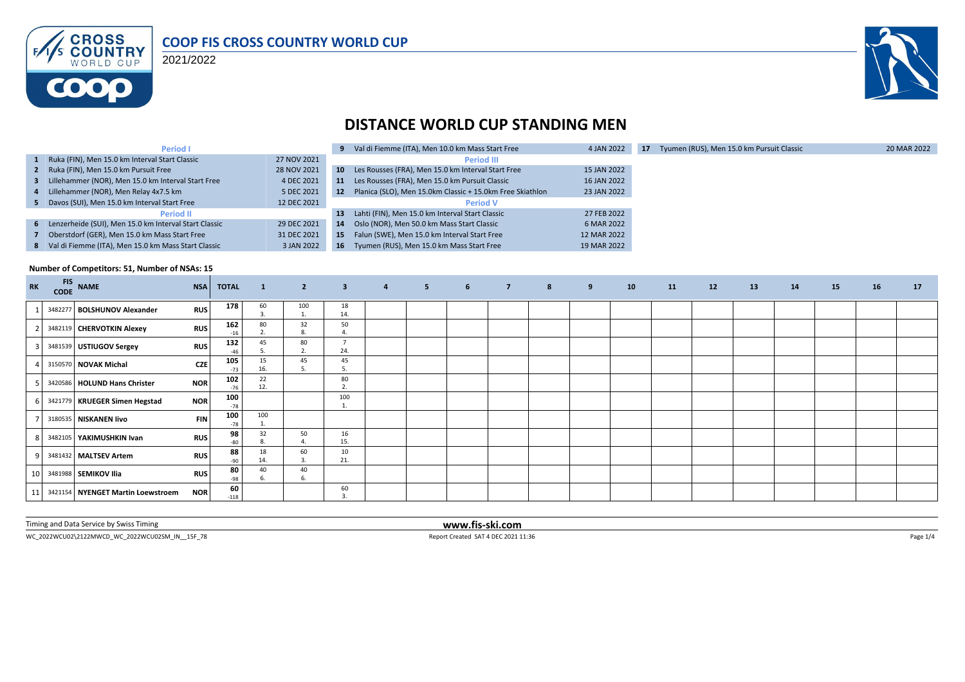

2021/2022



## **DISTANCE WORLD CUP STANDING MEN**

| <b>Period I</b>                                         |             |         | 9 Val di Fiemme (ITA), Men 10.0 km Mass Start Free        | 4 JAN 2022  | 17 | Tyumen (RUS), Men 15.0 km Pursuit Classic | 20 MAR 2022 |
|---------------------------------------------------------|-------------|---------|-----------------------------------------------------------|-------------|----|-------------------------------------------|-------------|
| 1 Ruka (FIN), Men 15.0 km Interval Start Classic        | 27 NOV 2021 |         | <b>Period III</b>                                         |             |    |                                           |             |
| 2 Ruka (FIN), Men 15.0 km Pursuit Free                  | 28 NOV 2021 | $10-10$ | Les Rousses (FRA), Men 15.0 km Interval Start Free        | 15 JAN 2022 |    |                                           |             |
| 3 Lillehammer (NOR), Men 15.0 km Interval Start Free    | 4 DEC 2021  | 11      | Les Rousses (FRA), Men 15.0 km Pursuit Classic            | 16 JAN 2022 |    |                                           |             |
| 4 Lillehammer (NOR), Men Relay 4x7.5 km                 | 5 DEC 2021  | 12      | Planica (SLO), Men 15.0km Classic + 15.0km Free Skiathlon | 23 JAN 2022 |    |                                           |             |
| 5 Davos (SUI), Men 15.0 km Interval Start Free          | 12 DEC 2021 |         | <b>Period V</b>                                           |             |    |                                           |             |
| <b>Period II</b>                                        |             | 13      | Lahti (FIN), Men 15.0 km Interval Start Classic           | 27 FEB 2022 |    |                                           |             |
| 6 Lenzerheide (SUI), Men 15.0 km Interval Start Classic | 29 DEC 2021 | 14      | Oslo (NOR), Men 50.0 km Mass Start Classic                | 6 MAR 2022  |    |                                           |             |
| Oberstdorf (GER), Men 15.0 km Mass Start Free           | 31 DEC 2021 | 15      | Falun (SWE), Men 15.0 km Interval Start Free              | 12 MAR 2022 |    |                                           |             |
| 8 Val di Fiemme (ITA), Men 15.0 km Mass Start Classic   | 3 JAN 2022  | 16      | Tyumen (RUS), Men 15.0 km Mass Start Free                 | 19 MAR 2022 |    |                                           |             |

#### **Number of Competitors: 51, Number of NSAs: 15**

| <b>RK</b> | <b>FIS</b> | CODE NAME                            | <b>NSA</b> | <b>TOTAL</b> | $\mathbf{1}$ | $\overline{2}$ | 3 <sup>1</sup>        | $\overline{4}$ | $5 - 1$ | 6 <sup>1</sup> | $\overline{z}$ , $\overline{z}$ , $\overline{z}$ , $\overline{z}$ , $\overline{z}$ , $\overline{z}$ , $\overline{z}$ , $\overline{z}$ , $\overline{z}$ , $\overline{z}$ , $\overline{z}$ , $\overline{z}$ , $\overline{z}$ , $\overline{z}$ , $\overline{z}$ , $\overline{z}$ , $\overline{z}$ , $\overline{z}$ , $\overline{z}$ , $\overline{z}$ , | $8 - 1$ | 9 | 10 | 11 | 12 | 13 | 14 | <b>15</b> | 16 | 17 |
|-----------|------------|--------------------------------------|------------|--------------|--------------|----------------|-----------------------|----------------|---------|----------------|-----------------------------------------------------------------------------------------------------------------------------------------------------------------------------------------------------------------------------------------------------------------------------------------------------------------------------------------------------|---------|---|----|----|----|----|----|-----------|----|----|
|           |            | 3482277 BOLSHUNOV Alexander          | <b>RUS</b> | 178          | 60           | 100            | 18<br>14.             |                |         |                |                                                                                                                                                                                                                                                                                                                                                     |         |   |    |    |    |    |    |           |    |    |
|           |            | 3482119 CHERVOTKIN Alexey            | <b>RUS</b> | 162<br>$-16$ | 80           | 32<br>8        | 50                    |                |         |                |                                                                                                                                                                                                                                                                                                                                                     |         |   |    |    |    |    |    |           |    |    |
|           |            | 3481539 USTIUGOV Sergey              | <b>RUS</b> | 132          | 45           | 80<br>2.       | $\overline{7}$<br>24. |                |         |                |                                                                                                                                                                                                                                                                                                                                                     |         |   |    |    |    |    |    |           |    |    |
|           |            | 3150570 NOVAK Michal                 | <b>CZE</b> | 105<br>$-73$ | 15<br>16.    | 45<br>-5.      | 45<br>5.              |                |         |                |                                                                                                                                                                                                                                                                                                                                                     |         |   |    |    |    |    |    |           |    |    |
| 51        |            | 3420586 HOLUND Hans Christer         | <b>NOR</b> | 102<br>$-76$ | 22<br>12.    |                | 80<br>2.              |                |         |                |                                                                                                                                                                                                                                                                                                                                                     |         |   |    |    |    |    |    |           |    |    |
| 6 I       |            | 3421779 KRUEGER Simen Hegstad        | <b>NOR</b> | 100<br>$-78$ |              |                | 100<br>1.             |                |         |                |                                                                                                                                                                                                                                                                                                                                                     |         |   |    |    |    |    |    |           |    |    |
|           |            | 3180535 NISKANEN livo                | <b>FIN</b> | 100<br>$-78$ | 100          |                |                       |                |         |                |                                                                                                                                                                                                                                                                                                                                                     |         |   |    |    |    |    |    |           |    |    |
| 81        |            | 3482105 YAKIMUSHKIN Ivan             | <b>RUS</b> | 98<br>-80    | 32           | 50             | 16<br>15.             |                |         |                |                                                                                                                                                                                                                                                                                                                                                     |         |   |    |    |    |    |    |           |    |    |
| 9         |            | 3481432 MALTSEV Artem                | <b>RUS</b> | 88<br>-90    | 18<br>14.    | 60<br>3        | 10<br>21.             |                |         |                |                                                                                                                                                                                                                                                                                                                                                     |         |   |    |    |    |    |    |           |    |    |
| 10        |            | 3481988 SEMIKOV Ilia                 | <b>RUS</b> | 80<br>$-98$  | 40           | 40<br>6.       |                       |                |         |                |                                                                                                                                                                                                                                                                                                                                                     |         |   |    |    |    |    |    |           |    |    |
|           |            | 11 3421154 NYENGET Martin Loewstroem | <b>NOR</b> | 60<br>$-118$ |              |                | 60<br>$\mathbf{R}$    |                |         |                |                                                                                                                                                                                                                                                                                                                                                     |         |   |    |    |    |    |    |           |    |    |

Timing and Data Service by Swiss Timing **www.fis-ski.com**

WC\_2022WCU02\2122MWCD\_WC\_2022WCU02SM\_IN\_\_15F\_78 Page 1/4 Report Created SAT 4 DEC 2021 11:36 Page 1/4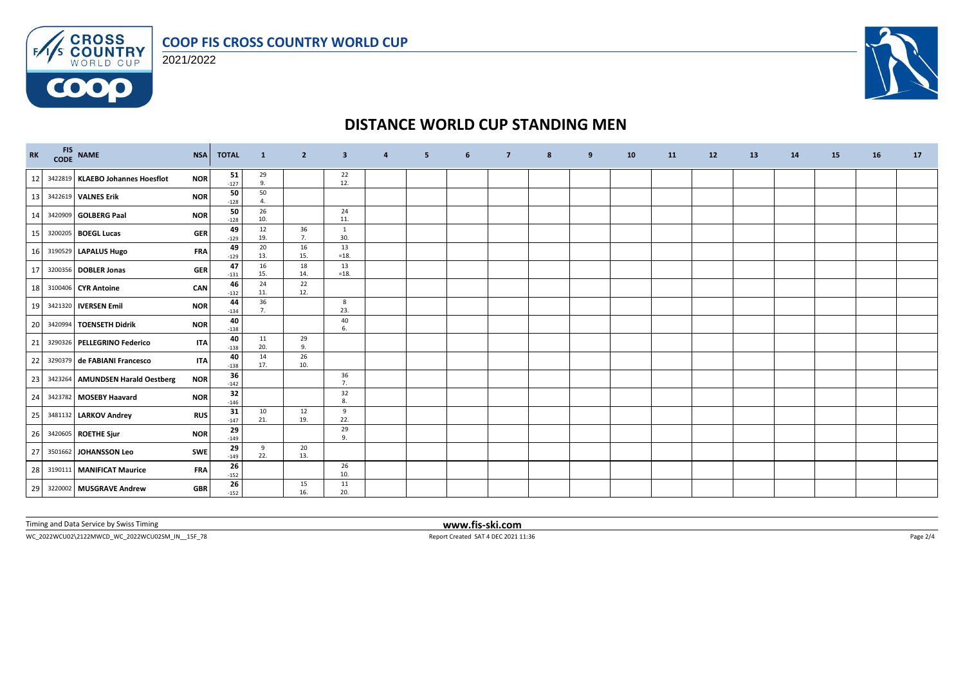



**COOO** 



## **DISTANCE WORLD CUP STANDING MEN**

| <b>RK</b> | FIS NAME<br>CODE NAME            | <b>NSA</b> | <b>TOTAL</b> | $\mathbf{1}$         | $\overline{2}$ | $\overline{\mathbf{3}}$ | $\overline{a}$ | 5 | 6 | $\overline{7}$ | 8 | 9 | 10 | <b>11</b> | 12 | 13 | 14 | <b>15</b> | 16 | 17 |
|-----------|----------------------------------|------------|--------------|----------------------|----------------|-------------------------|----------------|---|---|----------------|---|---|----|-----------|----|----|----|-----------|----|----|
| 12        | 3422819 KLAEBO Johannes Hoesflot | <b>NOR</b> | 51<br>$-127$ | 29<br>9.             |                | 22<br>12.               |                |   |   |                |   |   |    |           |    |    |    |           |    |    |
| 13        | 3422619 VALNES Erik              | <b>NOR</b> | 50<br>$-128$ | 50<br>$\overline{4}$ |                |                         |                |   |   |                |   |   |    |           |    |    |    |           |    |    |
| 14        | 3420909 GOLBERG Paal             | <b>NOR</b> | 50<br>$-128$ | 26<br>10.            |                | 24<br>11.               |                |   |   |                |   |   |    |           |    |    |    |           |    |    |
| 15        | 3200205 BOEGL Lucas              | <b>GER</b> | 49<br>$-129$ | 12<br>19.            | 36<br>7.       | $\mathbf{1}$<br>30.     |                |   |   |                |   |   |    |           |    |    |    |           |    |    |
| 16        | 3190529 LAPALUS Hugo             | <b>FRA</b> | 49<br>$-129$ | 20<br>13.            | 16<br>15.      | 13<br>$=18.$            |                |   |   |                |   |   |    |           |    |    |    |           |    |    |
| 17        | 3200356 DOBLER Jonas             | <b>GER</b> | 47<br>$-131$ | 16<br>15.            | 18<br>14.      | 13<br>$=18.$            |                |   |   |                |   |   |    |           |    |    |    |           |    |    |
| 18        | 3100406 CYR Antoine              | CAN        | 46<br>$-132$ | 24<br>11.            | 22<br>12.      |                         |                |   |   |                |   |   |    |           |    |    |    |           |    |    |
| 19        | 3421320 IVERSEN Emil             | <b>NOR</b> | 44<br>$-134$ | 36<br>7.             |                | 8<br>23.                |                |   |   |                |   |   |    |           |    |    |    |           |    |    |
| 20        | 3420994 TOENSETH Didrik          | <b>NOR</b> | 40<br>$-138$ |                      |                | 40<br>6.                |                |   |   |                |   |   |    |           |    |    |    |           |    |    |
| 21        | 3290326 PELLEGRINO Federico      | <b>ITA</b> | 40<br>$-138$ | 11<br>20.            | 29<br>9.       |                         |                |   |   |                |   |   |    |           |    |    |    |           |    |    |
| 22        | 3290379 de FABIANI Francesco     | <b>ITA</b> | 40<br>$-138$ | 14<br>17.            | 26<br>10.      |                         |                |   |   |                |   |   |    |           |    |    |    |           |    |    |
| 23        | 3423264 AMUNDSEN Harald Oestberg | <b>NOR</b> | 36<br>$-142$ |                      |                | 36<br>7.                |                |   |   |                |   |   |    |           |    |    |    |           |    |    |
| 24        | 3423782 MOSEBY Haavard           | <b>NOR</b> | 32<br>$-146$ |                      |                | 32<br>8.                |                |   |   |                |   |   |    |           |    |    |    |           |    |    |
| 25        | 3481132 LARKOV Andrey            | <b>RUS</b> | 31<br>$-147$ | 10<br>21.            | 12<br>19.      | 9<br>22.                |                |   |   |                |   |   |    |           |    |    |    |           |    |    |
| 26        | 3420605 ROETHE Sjur              | <b>NOR</b> | 29<br>$-149$ |                      |                | 29<br>9.                |                |   |   |                |   |   |    |           |    |    |    |           |    |    |
| 27        | 3501662 JOHANSSON Leo            | SWE        | 29<br>$-149$ | 9<br>22.             | 20<br>13.      |                         |                |   |   |                |   |   |    |           |    |    |    |           |    |    |
| 28        | 3190111 MANIFICAT Maurice        | <b>FRA</b> | 26<br>$-152$ |                      |                | 26<br>10.               |                |   |   |                |   |   |    |           |    |    |    |           |    |    |
| 29        | 3220002 MUSGRAVE Andrew          | <b>GBR</b> | 26<br>$-152$ |                      | 15<br>16.      | 11<br>20.               |                |   |   |                |   |   |    |           |    |    |    |           |    |    |

Timing and Data Service by Swiss Timing **www.fis-ski.com**

WC\_2022WCU02\2122MWCD\_WC\_2022WCU02SM\_IN\_\_15F\_78 Report Created SAT 4 DEC 2021 11:36 Page 2/4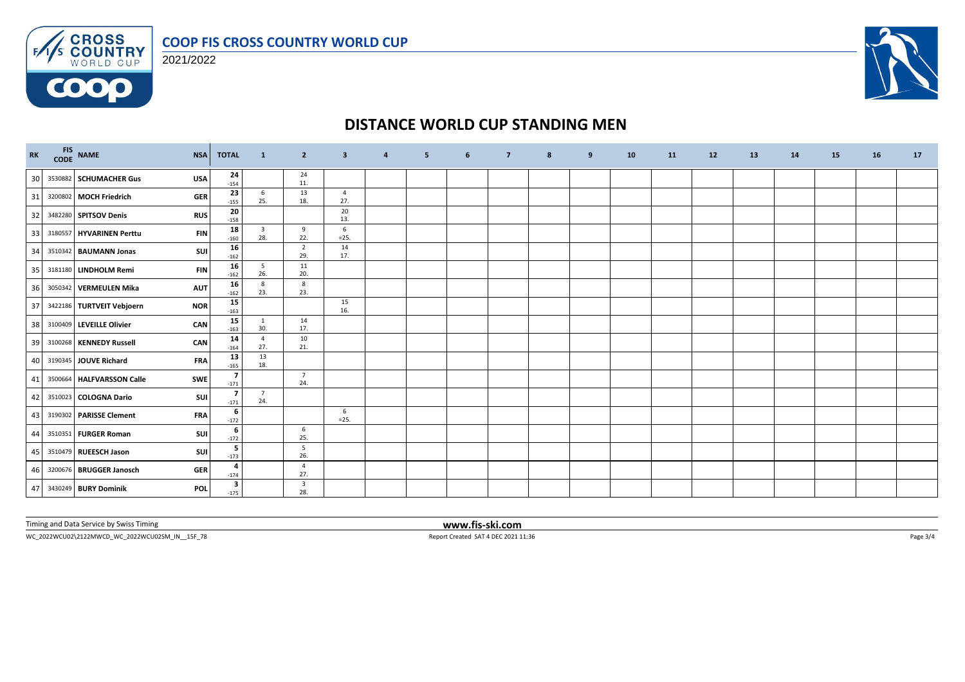



**COOO** 



# **DISTANCE WORLD CUP STANDING MEN**

| RK | FIS NAME<br>CODE NAME<br><b>NSA</b>     | <b>TOTAL</b>                      | $\mathbf{1}$                   | $\overline{2}$                 | $\overline{\mathbf{3}}$   | $\overline{a}$ | 5 | 6 | $\overline{7}$ | 8 | 9 | 10 | <b>11</b> | 12 | 13 | 14 | <b>15</b> | 16 | 17 |
|----|-----------------------------------------|-----------------------------------|--------------------------------|--------------------------------|---------------------------|----------------|---|---|----------------|---|---|----|-----------|----|----|----|-----------|----|----|
| 30 | 3530882 SCHUMACHER Gus<br><b>USA</b>    | 24<br>$-154$                      |                                | 24<br>11.                      |                           |                |   |   |                |   |   |    |           |    |    |    |           |    |    |
| 31 | 3200802 MOCH Friedrich<br><b>GER</b>    | 23<br>$-155$                      | 6<br>25.                       | 13<br>18.                      | 4<br>27.                  |                |   |   |                |   |   |    |           |    |    |    |           |    |    |
| 32 | 3482280 SPITSOV Denis<br><b>RUS</b>     | 20<br>$-158$                      |                                |                                | 20<br>13.                 |                |   |   |                |   |   |    |           |    |    |    |           |    |    |
| 33 | 3180557 HYVARINEN Perttu<br><b>FIN</b>  | 18<br>$-160$                      | $\overline{\mathbf{3}}$<br>28. | 9<br>22.                       | $6\phantom{.}6$<br>$=25.$ |                |   |   |                |   |   |    |           |    |    |    |           |    |    |
| 34 | 3510342 BAUMANN Jonas<br>SUI            | 16<br>$-162$                      |                                | $\overline{2}$<br>29.          | 14<br>17.                 |                |   |   |                |   |   |    |           |    |    |    |           |    |    |
| 35 | 3181180 LINDHOLM Remi<br><b>FIN</b>     | 16<br>$-162$                      | 5<br>26.                       | 11<br>20.                      |                           |                |   |   |                |   |   |    |           |    |    |    |           |    |    |
| 36 | 3050342 VERMEULEN Mika<br><b>AUT</b>    | 16<br>$-162$                      | 8<br>23.                       | 8<br>23.                       |                           |                |   |   |                |   |   |    |           |    |    |    |           |    |    |
| 37 | 3422186 TURTVEIT Vebjoern<br><b>NOR</b> | 15<br>$-163$                      |                                |                                | 15<br>16.                 |                |   |   |                |   |   |    |           |    |    |    |           |    |    |
| 38 | 3100409 LEVEILLE Olivier<br>CAN         | 15<br>$-163$                      | 1<br>30.                       | 14<br>17.                      |                           |                |   |   |                |   |   |    |           |    |    |    |           |    |    |
| 39 | CAN<br>3100268 KENNEDY Russell          | 14<br>$-164$                      | 4<br>27.                       | 10<br>21.                      |                           |                |   |   |                |   |   |    |           |    |    |    |           |    |    |
| 40 | <b>FRA</b><br>3190345 JOUVE Richard     | 13<br>$-165$                      | 13<br>18.                      |                                |                           |                |   |   |                |   |   |    |           |    |    |    |           |    |    |
| 41 | 3500664 HALFVARSSON Calle<br><b>SWE</b> | $\overline{\mathbf{z}}$<br>$-171$ |                                | $\overline{7}$<br>24.          |                           |                |   |   |                |   |   |    |           |    |    |    |           |    |    |
| 42 | 3510023 COLOGNA Dario<br>SUI            | 7<br>$-171$                       | $\overline{7}$<br>24.          |                                |                           |                |   |   |                |   |   |    |           |    |    |    |           |    |    |
| 43 | 3190302 PARISSE Clement<br><b>FRA</b>   | 6<br>$-172$                       |                                |                                | 6<br>$=25.$               |                |   |   |                |   |   |    |           |    |    |    |           |    |    |
| 44 | SUI<br>3510351 FURGER Roman             | 6<br>$-172$                       |                                | 6<br>25.                       |                           |                |   |   |                |   |   |    |           |    |    |    |           |    |    |
| 45 | 3510479 RUEESCH Jason<br>SUI            | -5<br>$-173$                      |                                | $5\overline{5}$<br>26.         |                           |                |   |   |                |   |   |    |           |    |    |    |           |    |    |
| 46 | 3200676 BRUGGER Janosch<br><b>GER</b>   | 4<br>$-174$                       |                                | $\overline{4}$<br>27.          |                           |                |   |   |                |   |   |    |           |    |    |    |           |    |    |
|    | 47 3430249 BURY Dominik<br><b>POL</b>   | 3<br>$-175$                       |                                | $\overline{\mathbf{3}}$<br>28. |                           |                |   |   |                |   |   |    |           |    |    |    |           |    |    |

Timing and Data Service by Swiss Timing **www.fis-ski.com**

WC\_2022WCU02\2122MWCD\_WC\_2022WCU02SM\_IN\_\_15F\_78 Report Created SAT 4 DEC 2021 11:36 Page 3/4